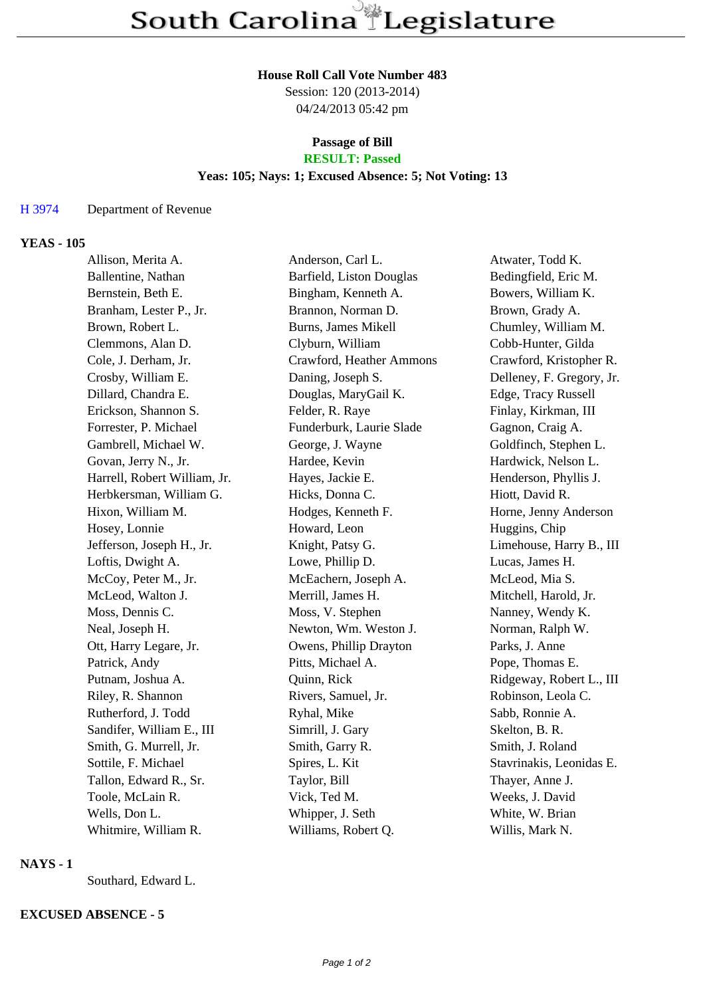# **House Roll Call Vote Number 483**

Session: 120 (2013-2014) 04/24/2013 05:42 pm

#### **Passage of Bill RESULT: Passed**

# **Yeas: 105; Nays: 1; Excused Absence: 5; Not Voting: 13**

#### H 3974 Department of Revenue

#### **YEAS - 105**

| Allison, Merita A.           | Anderson, Carl L.        | Atwater, Todd K.          |
|------------------------------|--------------------------|---------------------------|
| Ballentine, Nathan           | Barfield, Liston Douglas | Bedingfield, Eric M.      |
| Bernstein, Beth E.           | Bingham, Kenneth A.      | Bowers, William K.        |
| Branham, Lester P., Jr.      | Brannon, Norman D.       | Brown, Grady A.           |
| Brown, Robert L.             | Burns, James Mikell      | Chumley, William M.       |
| Clemmons, Alan D.            | Clyburn, William         | Cobb-Hunter, Gilda        |
| Cole, J. Derham, Jr.         | Crawford, Heather Ammons | Crawford, Kristopher R.   |
| Crosby, William E.           | Daning, Joseph S.        | Delleney, F. Gregory, Jr. |
| Dillard, Chandra E.          | Douglas, MaryGail K.     | Edge, Tracy Russell       |
| Erickson, Shannon S.         | Felder, R. Raye          | Finlay, Kirkman, III      |
| Forrester, P. Michael        | Funderburk, Laurie Slade | Gagnon, Craig A.          |
| Gambrell, Michael W.         | George, J. Wayne         | Goldfinch, Stephen L.     |
| Govan, Jerry N., Jr.         | Hardee, Kevin            | Hardwick, Nelson L.       |
| Harrell, Robert William, Jr. | Hayes, Jackie E.         | Henderson, Phyllis J.     |
| Herbkersman, William G.      | Hicks, Donna C.          | Hiott, David R.           |
| Hixon, William M.            | Hodges, Kenneth F.       | Horne, Jenny Anderson     |
| Hosey, Lonnie                | Howard, Leon             | Huggins, Chip             |
| Jefferson, Joseph H., Jr.    | Knight, Patsy G.         | Limehouse, Harry B., III  |
| Loftis, Dwight A.            | Lowe, Phillip D.         | Lucas, James H.           |
| McCoy, Peter M., Jr.         | McEachern, Joseph A.     | McLeod, Mia S.            |
| McLeod, Walton J.            | Merrill, James H.        | Mitchell, Harold, Jr.     |
| Moss, Dennis C.              | Moss, V. Stephen         | Nanney, Wendy K.          |
| Neal, Joseph H.              | Newton, Wm. Weston J.    | Norman, Ralph W.          |
| Ott, Harry Legare, Jr.       | Owens, Phillip Drayton   | Parks, J. Anne            |
| Patrick, Andy                | Pitts, Michael A.        | Pope, Thomas E.           |
| Putnam, Joshua A.            | Quinn, Rick              | Ridgeway, Robert L., III  |
| Riley, R. Shannon            | Rivers, Samuel, Jr.      | Robinson, Leola C.        |
| Rutherford, J. Todd          | Ryhal, Mike              | Sabb, Ronnie A.           |
| Sandifer, William E., III    | Simrill, J. Gary         | Skelton, B. R.            |
| Smith, G. Murrell, Jr.       | Smith, Garry R.          | Smith, J. Roland          |
| Sottile, F. Michael          | Spires, L. Kit           | Stavrinakis, Leonidas E.  |
| Tallon, Edward R., Sr.       | Taylor, Bill             | Thayer, Anne J.           |
| Toole, McLain R.             | Vick, Ted M.             | Weeks, J. David           |
| Wells, Don L.                | Whipper, J. Seth         | White, W. Brian           |
| Whitmire, William R.         | Williams, Robert Q.      | Willis, Mark N.           |

## **NAYS - 1**

Southard, Edward L.

### **EXCUSED ABSENCE - 5**